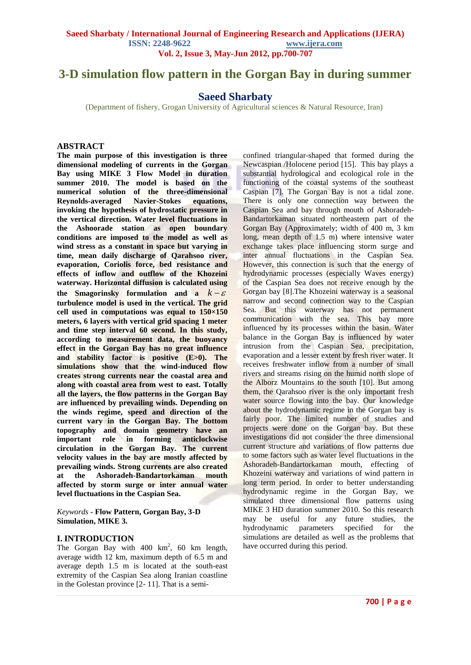# **3-D simulation flow pattern in the Gorgan Bay in during summer**

# **Saeed Sharbaty**

(Department of fishery, Grogan University of Agricultural sciences & Natural Resource, Iran)

#### **ABSTRACT**

**The main purpose of this investigation is three dimensional modeling of currents in the Gorgan Bay using MIKE 3 Flow Model in duration summer 2010. The model is based on the numerical solution of the three-dimensional Reynolds-averaged Navier-Stokes equations, invoking the hypothesis of hydrostatic pressure in the vertical direction. Water level fluctuations in the Ashoorade station as open boundary conditions are imposed to the model as well as wind stress as a constant in space but varying in time, mean daily discharge of Qarahsoo river, evaporation, Coriolis force, bed resistance and effects of inflow and outflow of the Khozeini waterway. Horizontal diffusion is calculated using**  the Smagorinsky formulation and a  $k - \varepsilon$ **turbulence model is used in the vertical. The grid cell used in computations was equal to 150×150 meters, 6 layers with vertical grid spacing 1 meter and time step interval 60 second. In this study, according to measurement data, the buoyancy effect in the Gorgan Bay has no great influence and stability factor is positive (E>0). The simulations show that the wind-induced flow creates strong currents near the coastal area and along with coastal area from west to east. Totally all the layers, the flow patterns in the Gorgan Bay are influenced by prevailing winds. Depending on the winds regime, speed and direction of the current vary in the Gorgan Bay. The bottom topography and domain geometry have an important role in forming anticlockwise circulation in the Gorgan Bay. The current velocity values in the bay are mostly affected by prevailing winds. Strong currents are also created at the Ashoradeh-Bandartorkaman mouth affected by storm surge or inter annual water level fluctuations in the Caspian Sea.**

*Keywords* **- Flow Pattern, Gorgan Bay, 3-D Simulation, MIKE 3.**

#### **I. INTRODUCTION**

The Gorgan Bay with  $400 \text{ km}^2$ , 60 km length, average width 12 km, maximum depth of 6.5 m and average depth 1.5 m is located at the south-east extremity of the Caspian Sea along Iranian coastline in the Golestan province [2- 11]. That is a semi-

confined triangular-shaped that formed during the Newcaspian /Holocene period [15]. This bay plays a substantial hydrological and ecological role in the functioning of the coastal systems of the southeast Caspian [7]. The Gorgan Bay is not a tidal zone. There is only one connection way between the Caspian Sea and bay through mouth of Ashoradeh-Bandartorkaman situated northeastern part of the Gorgan Bay (Approximately; width of 400 m, 3 km long, mean depth of 1.5 m) where intensive water exchange takes place influencing storm surge and inter annual fluctuations in the Caspian Sea. However, this connection is such that the energy of hydrodynamic processes (especially Waves energy) of the Caspian Sea does not receive enough by the Gorgan bay [8].The Khozeini waterway is a seasonal narrow and second connection way to the Caspian Sea. But this waterway has not permanent communication with the sea. This bay more influenced by its processes within the basin. Water balance in the Gorgan Bay is influenced by water intrusion from the Caspian Sea, precipitation, evaporation and a lesser extent by fresh river water. It receives freshwater inflow from a number of small rivers and streams rising on the humid north slope of the Alborz Mountains to the south [10]. But among them, the Qarahsoo river is the only important fresh water source flowing into the bay. Our knowledge about the hydrodynamic regime in the Gorgan bay is fairly poor. The limited number of studies and projects were done on the Gorgan bay. But these investigations did not consider the three dimensional current structure and variations of flow patterns due to some factors such as water level fluctuations in the Ashoradeh-Bandartorkaman mouth, effecting of Khozeini waterway and variations of wind pattern in long term period. In order to better understanding hydrodynamic regime in the Gorgan Bay, we simulated three dimensional flow patterns using MIKE 3 HD duration summer 2010. So this research may be useful for any future studies, the hydrodynamic parameters specified for the simulations are detailed as well as the problems that have occurred during this period.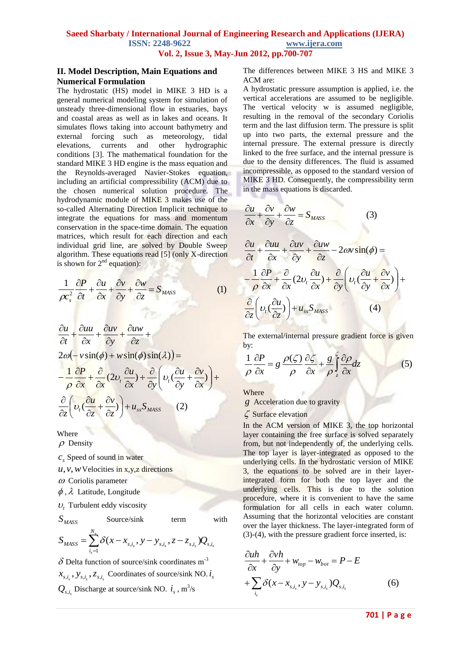#### **II. Model Description, Main Equations and Numerical Formulation**

The hydrostatic (HS) model in MIKE 3 HD is a general numerical modeling system for simulation of unsteady three-dimensional flow in estuaries, bays and coastal areas as well as in lakes and oceans. It simulates flows taking into account bathymetry and external forcing such as meteorology, tidal elevations, currents and other hydrographic conditions [3]. The mathematical foundation for the standard MIKE 3 HD engine is the mass equation and the Reynolds-averaged Navier-Stokes equation, including an artificial compressibility (ACM) due to the chosen numerical solution procedure. The hydrodynamic module of MIKE 3 makes use of the so-called Alternating Direction Implicit technique to integrate the equations for mass and momentum conservation in the space-time domain. The equation matrices, which result for each direction and each individual grid line, are solved by Double Sweep algorithm. These equations read [5] (only X-direction is shown for  $2<sup>nd</sup>$  equation):

$$
\frac{1}{\rho c_s^2} \frac{\partial P}{\partial t} + \frac{\partial u}{\partial x} + \frac{\partial v}{\partial y} + \frac{\partial w}{\partial z} = S_{MASS}
$$
 (1)

$$
\frac{\partial u}{\partial t} + \frac{\partial u u}{\partial x} + \frac{\partial u v}{\partial y} + \frac{\partial u w}{\partial z} +
$$
\n
$$
2\omega \left( -v \sin(\phi) + w \sin(\phi) \sin(\lambda) \right) =
$$
\n
$$
-\frac{1}{\rho} \frac{\partial P}{\partial x} + \frac{\partial}{\partial x} (2v_t \frac{\partial u}{\partial x}) + \frac{\partial}{\partial y} \left( v_t \left( \frac{\partial u}{\partial y} + \frac{\partial v}{\partial x} \right) \right) +
$$
\n
$$
\frac{\partial}{\partial z} \left( v_t \left( \frac{\partial u}{\partial z} + \frac{\partial v}{\partial z} \right) \right) + u_{ss} S_{mass} \quad (2)
$$

Where

 $\rho$  Density

*s c* Speed of sound in water

*u*,*v*,*w* Velocities in x,y,z directions

 $\omega$  Coriolis parameter

 $\phi$ ,  $\lambda$  Latitude, Longitude

 $U_t$  Turbulent eddy viscosity

*SMASS*

Source/sink term with

$$
S_{MASS} = \sum_{i_s=1}^{N_s} \delta(x - x_{s,i_s}, y - y_{s,i_s}, z - z_{s,i_s}) Q_{s,i_s}
$$

 $\delta$  Delta function of source/sink coordinates m<sup>-3</sup>  $x_{s,i_s}$ ,  $y_{s,i_s}$ ,  $z_{s,i_s}$  Coordinates of source/sink NO.  $i_s$  $Q_{s,i_s}$  Discharge at source/sink NO.  $i_s$ , m<sup>3</sup>/s

The differences between MIKE 3 HS and MIKE 3 ACM are:

A hydrostatic pressure assumption is applied, i.e. the vertical accelerations are assumed to be negligible. The vertical velocity w is assumed negligible, resulting in the removal of the secondary Coriolis term and the last diffusion term. The pressure is split up into two parts, the external pressure and the internal pressure. The external pressure is directly linked to the free surface, and the internal pressure is due to the density differences. The fluid is assumed incompressible, as opposed to the standard version of MIKE 3 HD. Consequently, the compressibility term in the mass equations is discarded.

$$
\frac{\partial u}{\partial x} + \frac{\partial v}{\partial y} + \frac{\partial w}{\partial z} = S_{mass}
$$
 (3)

$$
\frac{\partial u}{\partial t} + \frac{\partial u u}{\partial x} + \frac{\partial u v}{\partial y} + \frac{\partial u w}{\partial z} - 2\omega v \sin(\phi) =
$$
\n
$$
-\frac{1}{\rho} \frac{\partial P}{\partial x} + \frac{\partial}{\partial x} (2v_t \frac{\partial u}{\partial x}) + \frac{\partial}{\partial y} \left( v_t \left( \frac{\partial u}{\partial y} + \frac{\partial v}{\partial x} \right) \right) +
$$
\n
$$
\frac{\partial}{\partial z} \left( v_t \left( \frac{\partial u}{\partial z} \right) + u_{ss} S_{mass} \right) \tag{4}
$$

The external/internal pressure gradient force is given by:

$$
\frac{1}{\rho} \frac{\partial P}{\partial x} = g \frac{\rho(\zeta)}{\rho} \frac{\partial \zeta}{\partial x} + \frac{g}{\rho} \int_{z}^{z} \frac{\partial \rho}{\partial x} dz \tag{5}
$$

Where

*g* Acceleration due to gravity

 $\zeta$  Surface elevation

In the ACM version of MIKE 3, the top horizontal layer containing the free surface is solved separately from, but not independently of, the underlying cells. The top layer is layer-integrated as opposed to the underlying cells. In the hydrostatic version of MIKE 3, the equations to be solved are in their layerintegrated form for both the top layer and the underlying cells. This is due to the solution procedure, where it is convenient to have the same formulation for all cells in each water column. Assuming that the horizontal velocities are constant over the layer thickness. The layer-integrated form of (3)-(4), with the pressure gradient force inserted, is:

$$
\frac{\partial u h}{\partial x} + \frac{\partial v h}{\partial y} + w_{top} - w_{bot} = P - E
$$
  
+ 
$$
\sum_{i_s} \delta(x - x_{s,i_s}, y - y_{s,i_s}) Q_{s,i_s}
$$
 (6)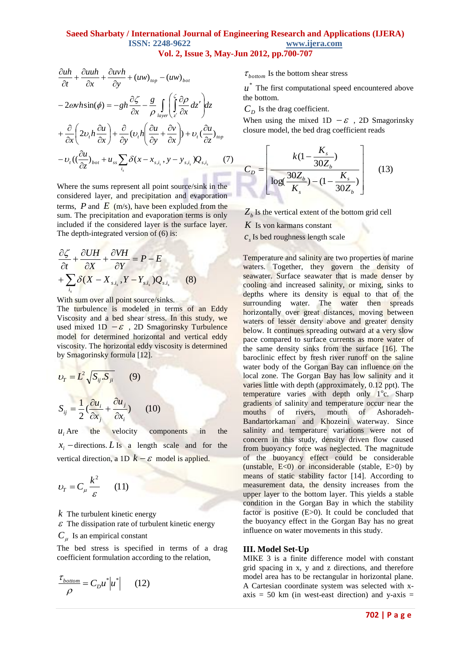$$
\frac{\partial u h}{\partial t} + \frac{\partial u u h}{\partial x} + \frac{\partial u v h}{\partial y} + (u w)_{top} - (u w)_{bot}
$$
  
\n
$$
-2\omega v h \sin(\phi) = -gh \frac{\partial \zeta}{\partial x} - \frac{g}{\rho} \int_{layer} \left( \int_{z'}^{\zeta} \frac{\partial \rho}{\partial x} dz' \right) dz
$$
  
\n
$$
+ \frac{\partial}{\partial x} \left( 2v_t h \frac{\partial u}{\partial x} \right) + \frac{\partial}{\partial y} (v_t h \left( \frac{\partial u}{\partial y} + \frac{\partial v}{\partial x} \right) + v_t \left( \frac{\partial u}{\partial z} \right)_{top}
$$
  
\n
$$
-v_t \left( \left( \frac{\partial u}{\partial z} \right)_{bot} + u_{ss} \sum_{i_s} \delta(x - x_{s,i_s}, y - y_{s,i_s}) Q_{s,i_s} \right) (7)
$$

Where the sums represent all point source/sink in the considered layer, and precipitation and evaporation terms,  $P$  and  $E$  (m/s), have been expluded from the sum. The precipitation and evaporation terms is only included if the considered layer is the surface layer. The depth-integrated version of (6) is:

$$
\frac{\partial \zeta}{\partial t} + \frac{\partial UH}{\partial X} + \frac{\partial VH}{\partial Y} = P - E
$$
  
+ 
$$
\sum_{i_s} \delta(X - X_{s,i_s}, Y - Y_{s,i_s})Q_{s,i_s}
$$
 (8)

With sum over all point source/sinks.

The turbulence is modeled in terms of an Eddy [Viscosity](mk:@MSITStore:C:\Program%20Files\DHI\MIKEZero\bin\M3Nested.chm::/m3hd_Ref45.html#wp1114087) and a bed shear stress. In this study, we used mixed  $1D - \varepsilon$ , 2D Smagorinsky Turbulence model for determined horizontal and vertical eddy viscosity. The horizontal eddy viscosity is determined by Smagorinsky formula [12].

$$
v_r = L^2 \sqrt{S_{ij} S_{ji}} \qquad (9)
$$
  

$$
S_{ij} = \frac{1}{2} (\frac{\partial u_i}{\partial x_j} + \frac{\partial u_j}{\partial x_i}) \qquad (10)
$$

 $u_i$ , Are the velocity components in the  $x_i$  -directions.  $L$  Is a length scale and for the vertical direction, a 1D  $k - \varepsilon$  model is applied.

$$
v_T = C_\mu \frac{k^2}{\varepsilon} \qquad (11)
$$

*k* The turbulent kinetic energy

 $\varepsilon$  The dissipation rate of turbulent kinetic energy

 $C_{\mu}$  Is an empirical constant

The bed stress is specified in terms of a drag coefficient formulation according to the relation,

$$
\frac{\tau_{bottom}}{\rho} = C_D u^* |u^*| \qquad (12)
$$

 $\tau_{bottom}$  Is the bottom shear stress

 $u^*$  The first computational speed encountered above the bottom.

 $C_D$  Is the drag coefficient.

When using the mixed  $1D - \varepsilon$ , 2D Smagorinsky closure model, the bed drag coefficient reads

$$
C_{D} = \left[ \frac{k(1 - \frac{K_{s}}{30Z_{b}})}{\log(\frac{30Z_{b}}{K_{s}}) - (1 - \frac{K_{s}}{30Z_{b}})} \right]
$$
(13)

 $Z_b$  Is the vertical extent of the bottom grid cell

*K* Is von karmans constant

 $c<sub>s</sub>$  Is bed roughness length scale

Temperature and salinity are two properties of marine waters. Together, they govern the density of seawater. Surface seawater that is made denser by cooling and increased salinity, or mixing, sinks to depths where its density is equal to that of the surrounding water. The water then spreads horizontally over great distances, moving between waters of lesser density above and greater density below. It continues spreading outward at a very slow pace compared to surface currents as more water of the same density sinks from the surface [16]. The baroclinic effect by fresh river runoff on the saline water body of the Gorgan Bay can influence on the local zone. The Gorgan Bay has low salinity and it varies little with depth (approximately, 0.12 ppt). The temperature varies with depth only  $1^{\circ}$ c. Sharp gradients of salinity and temperature occur near the mouths of rivers, mouth of Ashoradeh-Bandartorkaman and Khozeini waterway. Since salinity and temperature variations were not of concern in this study, density driven flow caused from buoyancy force was neglected. The magnitude of the buoyancy effect could be considerable (unstable,  $E<0$ ) or inconsiderable (stable,  $E>0$ ) by means of static stability factor [14]. According to measurement data, the density increases from the upper layer to the bottom layer. This yields a stable condition in the Gorgan Bay in which the stability factor is positive (E>0). It could be concluded that the buoyancy effect in the Gorgan Bay has no great influence on water movements in this study.

#### **III. Model Set-Up**

MIKE 3 is a finite difference model with constant grid spacing in x, y and z directions, and therefore model area has to be rectangular in horizontal plane. A Cartesian coordinate system was selected with xaxis  $= 50$  km (in west-east direction) and y-axis  $=$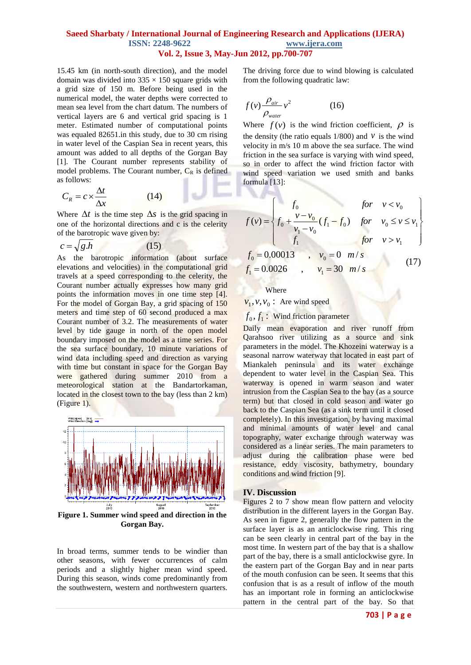15.45 km (in north-south direction), and the model domain was divided into  $335 \times 150$  square grids with a grid size of 150 m. Before being used in the numerical model, the water depths were corrected to mean sea level from the chart datum. The numbers of vertical layers are 6 and vertical grid spacing is 1 meter. Estimated number of computational points was equaled 82651.in this study, due to 30 cm rising in water level of the Caspian Sea in recent years, this amount was added to all depths of the Gorgan Bay [1]. The Courant number represents stability of model problems. The Courant number,  $C_R$  is defined as follows:

$$
C_R = c \times \frac{\Delta t}{\Delta x}
$$
 (14)

Where  $\Delta t$  is the time step  $\Delta s$  is the grid spacing in one of the horizontal directions and c is the celerity of the barotropic wave given by:

$$
c = \sqrt{g.h} \tag{15}
$$

As the barotropic information (about surface elevations and velocities) in the computational grid travels at a speed corresponding to the celerity, the Courant number actually expresses how many grid points the information moves in one time step [4]. For the model of Gorgan Bay, a grid spacing of 150 meters and time step of 60 second produced a max Courant number of 3.2. The measurements of water level by tide gauge in north of the open model boundary imposed on the model as a time series. For the sea surface boundary, 10 minute variations of wind data including speed and direction as varying with time but constant in space for the Gorgan Bay were gathered during summer 2010 from a meteorological station at the Bandartorkaman, located in the closest town to the bay (less than 2 km) (Figure 1).



**Figure 1. Summer wind speed and direction in the Gorgan Bay.**

In broad terms, summer tends to be windier than other seasons, with fewer occurrences of calm periods and a slightly higher mean wind speed. During this season, winds come predominantly from the southwestern, western and northwestern quarters. The driving force due to wind blowing is calculated from the following quadratic law:

$$
f(v)\frac{\rho_{air}}{\rho_{water}}v^2\tag{16}
$$

Where  $f(v)$  is the wind friction coefficient,  $\rho$  is the density (the ratio equals  $1/800$ ) and  $V$  is the wind velocity in m/s 10 m above the sea surface. The wind friction in the sea surface is varying with wind speed, so in order to affect the wind friction factor with wind speed variation we used smith and banks formula [13]:

$$
f(v) = \begin{cases} f_0 & \text{for } v < v_0 \\ f_0 + \frac{v - v_0}{v_1 - v_0} (f_1 - f_0) & \text{for } v_0 \le v \le v_1 \\ f_1 & \text{for } v > v_1 \end{cases}
$$
  

$$
f_0 = 0.00013 \qquad v_0 = 0 \quad m/s \qquad (17)
$$
  

$$
f_1 = 0.0026 \qquad v_1 = 30 \quad m/s \qquad (17)
$$

Where

. . .

# $v_1$ ,  $v$ ,  $v_0$ : Are wind speed

# $f_0, f_1$ : Wind friction parameter

Daily mean evaporation and river runoff from Qarahsoo river utilizing as a source and sink parameters in the model. The Khozeini waterway is a seasonal narrow waterway that located in east part of Miankaleh peninsula and its water exchange dependent to water level in the Caspian Sea. This waterway is opened in warm season and water intrusion from the Caspian Sea to the bay (as a source term) but that closed in cold season and water go back to the Caspian Sea (as a sink term until it closed completely). In this investigation, by having maximal and minimal amounts of water level and canal topography, water exchange through waterway was considered as a linear series. The main parameters to adjust during the calibration phase were bed resistance, eddy viscosity, bathymetry, boundary conditions and wind friction [9].

#### **IV. Discussion**

Figures 2 to 7 show mean flow pattern and velocity distribution in the different layers in the Gorgan Bay. As seen in figure 2, generally the flow pattern in the surface layer is as an anticlockwise ring. This ring can be seen clearly in central part of the bay in the most time. In western part of the bay that is a shallow part of the bay, there is a small anticlockwise gyre. In the eastern part of the Gorgan Bay and in near parts of the mouth confusion can be seen. It seems that this confusion that is as a result of inflow of the mouth has an important role in forming an anticlockwise pattern in the central part of the bay. So that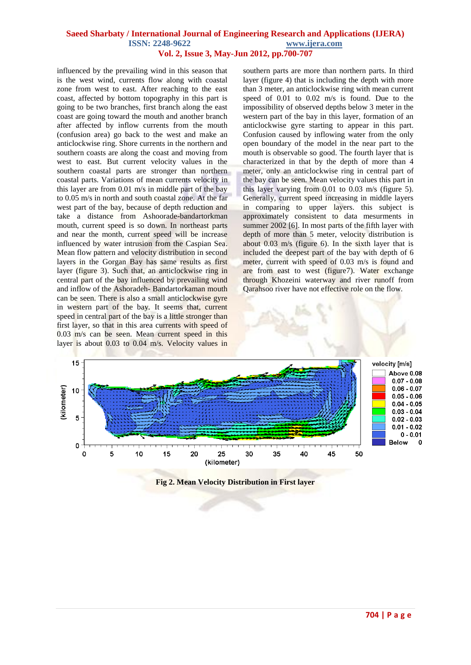influenced by the prevailing wind in this season that is the west wind, currents flow along with coastal zone from west to east. After reaching to the east coast, affected by bottom topography in this part is going to be two branches, first branch along the east coast are going toward the mouth and another branch after affected by inflow currents from the mouth (confusion area) go back to the west and make an anticlockwise ring. Shore currents in the northern and southern coasts are along the coast and moving from west to east. But current velocity values in the southern coastal parts are stronger than northern coastal parts. Variations of mean currents velocity in this layer are from 0.01 m/s in middle part of the bay to 0.05 m/s in north and south coastal zone. At the far west part of the bay, because of depth reduction and take a distance from Ashoorade-bandartorkman mouth, current speed is so down. In northeast parts and near the month, current speed will be increase influenced by water intrusion from the Caspian Sea. Mean flow pattern and velocity distribution in second layers in the Gorgan Bay has same results as first layer (figure 3). Such that, an anticlockwise ring in central part of the bay influenced by prevailing wind and inflow of the Ashoradeh- Bandartorkaman mouth can be seen. There is also a small anticlockwise gyre in western part of the bay. It seems that, current speed in central part of the bay is a little stronger than first layer, so that in this area currents with speed of 0.03 m/s can be seen. Mean current speed in this layer is about 0.03 to 0.04 m/s. Velocity values in

southern parts are more than northern parts. In third layer (figure 4) that is including the depth with more than 3 meter, an anticlockwise ring with mean current speed of 0.01 to 0.02 m/s is found. Due to the impossibility of observed depths below 3 meter in the western part of the bay in this layer, formation of an anticlockwise gyre starting to appear in this part. Confusion caused by inflowing water from the only open boundary of the model in the near part to the mouth is observable so good. The fourth layer that is characterized in that by the depth of more than 4 meter, only an anticlockwise ring in central part of the bay can be seen. Mean velocity values this part in this layer varying from 0.01 to 0.03 m/s (figure 5). Generally, current speed increasing in middle layers in comparing to upper layers. this subject is approximately consistent to data mesurments in summer 2002 [6]. In most parts of the fifth layer with depth of more than 5 meter, velocity distribution is about 0.03 m/s (figure 6). In the sixth layer that is included the deepest part of the bay with depth of 6 meter, current with speed of 0.03 m/s is found and are from east to west (figure7). Water exchange through Khozeini waterway and river runoff from Qarahsoo river have not effective role on the flow.



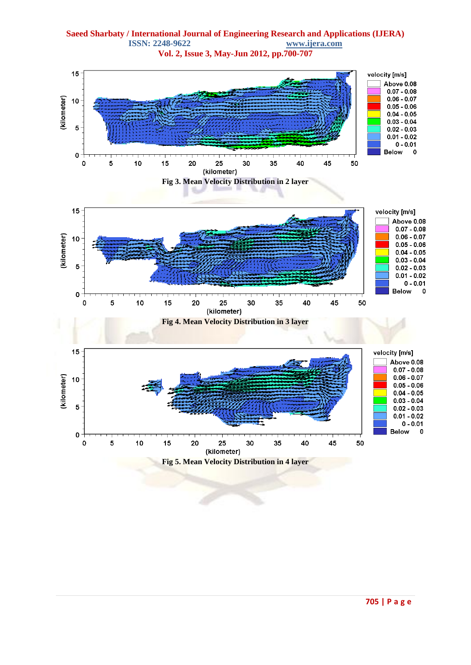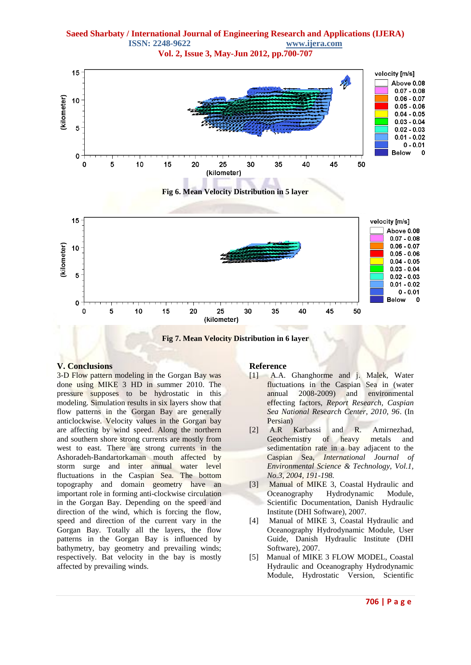



### **V. Conclusions**

3-D Flow pattern modeling in the Gorgan Bay was done using MIKE 3 HD in summer 2010. The pressure supposes to be hydrostatic in this modeling. Simulation results in six layers show that flow patterns in the Gorgan Bay are generally anticlockwise. Velocity values in the Gorgan bay are affecting by wind speed. Along the northern and southern shore strong currents are mostly from west to east. There are strong currents in the Ashoradeh-Bandartorkaman mouth affected by storm surge and inter annual water level fluctuations in the Caspian Sea. The bottom topography and domain geometry have an important role in forming anti-clockwise circulation in the Gorgan Bay. Depending on the speed and direction of the wind, which is forcing the flow, speed and direction of the current vary in the Gorgan Bay. Totally all the layers, the flow patterns in the Gorgan Bay is influenced by bathymetry, bay geometry and prevailing winds; respectively. Bat velocity in the bay is mostly affected by prevailing winds.

#### **Reference**

- [1] A.A. Ghanghorme and j. Malek, Water fluctuations in the Caspian Sea in (water annual 2008-2009) and environmental effecting factors, *Report Research, Caspian Sea National Research Center, 2010, 96*. (In Persian)
- [2] A.R Karbassi and R. Amirnezhad, Geochemistry of heavy metals and sedimentation rate in a bay adjacent to the Caspian Sea, *International Journal of Environmental Science & Technology, Vol.1, No.3, 2004, 191-198.*
- [3] Manual of MIKE 3, Coastal Hydraulic and Oceanography Hydrodynamic Module, Scientific Documentation, Danish Hydraulic Institute (DHI Software), 2007.
- [4] Manual of MIKE 3, Coastal Hydraulic and Oceanography Hydrodynamic Module, User Guide, Danish Hydraulic Institute (DHI Software), 2007.
- [5] Manual of MIKE 3 FLOW MODEL, Coastal Hydraulic and Oceanography Hydrodynamic Module, Hydrostatic Version, Scientific